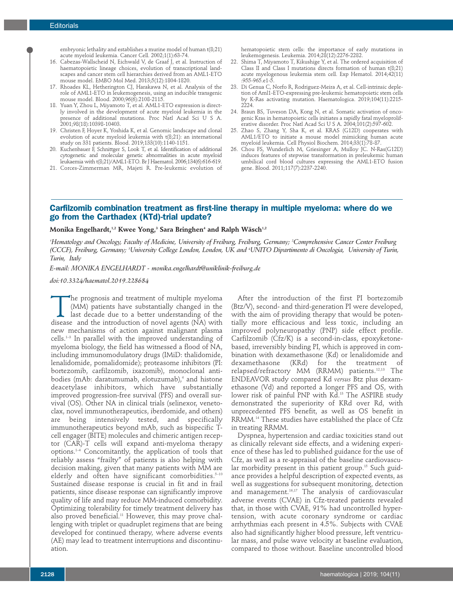embryonic lethality and establishes a murine model of human t(8;21) acute myeloid leukemia. Cancer Cell. 2002;1(1):63-74.

- 16. Cabezas-Wallscheid N, Eichwald V, de Graaf J, et al. Instruction of haematopoietic lineage choices, evolution of transcriptional landscapes and cancer stem cell hierarchies derived from an AML1-ETO mouse model. EMBO Mol Med. 2013;5(12):1804-1820.
- 17. Rhoades KL, Hetherington CJ, Harakawa N, et al. Analysis of the role of AML1-ETO in leukemogenesis, using an inducible transgenic mouse model. Blood. 2000;96(6):2108-2115.
- 18. Yuan Y, Zhou L, Miyamoto T, et al. AML1-ETO expression is directly involved in the development of acute myeloid leukemia in the presence of additional mutations. Proc Natl Acad Sci U S A. 2001;98(18):10398-10403.
- 19. Christen F, Hoyer K, Yoshida K, et al. Genomic landscape and clonal evolution of acute myeloid leukemia with t(8;21): an international study on 331 patients. Blood. 2019;133(10):1140-1151.
- 20. Kuchenbauer F, Schnittger S, Look T, et al. Identification of additional cytogenetic and molecular genetic abnormalities in acute myeloid leukaemia with t(8;21)/AML1-ETO. Br J Haematol. 2006;134(6):616-619.
- 21. Corces-Zimmerman MR, Majeti R. Pre-leukemic evolution of

hematopoietic stem cells: the importance of early mutations in leukemogenesis. Leukemia. 2014;28(12):2276-2282.

- 22. Shima T, Miyamoto T, Kikushige Y, et al. The ordered acquisition of Class II and Class I mutations directs formation of human t(8;21) acute myelogenous leukemia stem cell. Exp Hematol. 2014;42(11) :955-965.e1-5.
- 23. Di Genua C, Norfo R, Rodriguez-Meira A, et al. Cell-intrinsic depletion of Aml1-ETO-expressing pre-leukemic hematopoietic stem cells by K-Ras activating mutation. Haematologica. 2019;104(11):2215- 2224.
- 24. Braun BS, Tuveson DA, Kong N, et al. Somatic activation of oncogenic Kras in hematopoietic cells initiates a rapidly fatal myeloproliferative disorder. Proc Natl Acad Sci U S A. 2004;101(2):597-602.
- 25. Zhao S, Zhang Y, Sha K, et al. KRAS (G12D) cooperates with AML1/ETO to initiate a mouse model mimicking human acute myeloid leukemia. Cell Physiol Biochem. 2014;33(1):78-87.
- 26. Chou FS, Wunderlich M, Griesinger A, Mulloy JC. N-Ras(G12D) induces features of stepwise transformation in preleukemic human umbilical cord blood cultures expressing the AML1-ETO fusion gene. Blood. 2011;117(7):2237-2240.

## **Carfilzomib combination treatment as first-line therapy in multiple myeloma: where do we go from the Carthadex (KTd)-trial update?**

## **Monika Engelhardt, 1,2 Kwee Yong, <sup>3</sup> Sara Bringhen4 and Ralph Wäsch1,2**

'Hematology and Oncology, Faculty of Medicine, University of Freiburg, Freiburg, Germany; <sup>2</sup>Comprehensive Cancer Center Freiburg (CCCF), Freiburg, Germany; <sup>s</sup>University College London, London, UK and <sup>s</sup>UNITO Dipartimento di Oncologia, University of Turin, *Turin, Italy*

*E-mail: MONIKA ENGELHARDT - monika.engelhardt@uniklinik-freiburg.de*

*doi:10.3324/haematol.2019.228684*

The prognosis and treatment of multiple myeloma<br>
(MM) patients have substantially changed in the<br>
last decade due to a better understanding of the<br>
disease and the introduction of novel agents (NA) with (MM) patients have substantially changed in the disease and the introduction of novel agents (NA) with new mechanisms of action against malignant plasma cells. 1–3 In parallel with the improved understanding of myeloma biology, the field has witnessed a flood of NA, including immunomodulatory drugs (IMiD: thalidomide, lenalidomide, pomalidomide); proteasome inhibitors (PI: bortezomib, carfilzomib, ixazomib), monoclonal antibodies (mAb: daratumumab, elotuzumab), <sup>4</sup> and histone deacetylase inhibitors, which have substantially improved progression-free survival (PFS) and overall survival (OS). Other NA in clinical trials (selinexor, venetoclax, novel immunotherapeutics, iberdomide, and others) are being intensively tested, and specifically immunotherapeutics beyond mAb, such as bispecific Tcell engager (BITE) molecules and chimeric antigen receptor (CAR)-T cells will expand anti-myeloma therapy options. 1–4 Concomitantly, the application of tools that reliably assess "frailty" of patients is also helping with decision making, given that many patients with MM are elderly and often have significant comorbidities. 5–10 Sustained disease response is crucial in fit and in frail patients, since disease response can significantly improve quality of life and may reduce MM-induced comorbidity. Optimizing tolerability for timely treatment delivery has also proved beneficial. <sup>11</sup> However, this may prove challenging with triplet or quadruplet regimens that are being developed for continued therapy, where adverse events (AE) may lead to treatment interruptions and discontinuation.

After the introduction of the first PI bortezomib (Btz/V), second- and third-generation PI were developed, with the aim of providing therapy that would be potentially more efficacious and less toxic, including an improved polyneuropathy (PNP) side effect profile. Carfilzomib (Cfz/K) is a second-in-class, epoxyketonebased, irreversibly binding PI, which is approved in combination with dexamethasone (Kd) or lenalidomide and dexamethasone (KRd) for the treatment of relapsed/refractory MM (RRMM) patients. 12,13 The ENDEAVOR study compared Kd *versus* Btz plus dexamethasone (Vd) and reported a longer PFS and OS, with lower risk of painful PNP with Kd. <sup>13</sup> The ASPIRE study demonstrated the superiority of KRd over Rd, with unprecedented PFS benefit, as well as OS benefit in RRMM. <sup>14</sup> These studies have established the place of Cfz in treating RRMM.

Dyspnea, hypertension and cardiac toxicities stand out as clinically relevant side effects, and a widening experience of these has led to published guidance for the use of Cfz, as well as a re-appraisal of the baseline cardiovascular morbidity present in this patient group. <sup>15</sup> Such guidance provides a helpful description of expected events, as well as suggestions for subsequent monitoring, detection and management. 16,17 The analysis of cardiovascular adverse events (CVAE) in Cfz-treated patients revealed that, in those with CVAE, 91% had uncontrolled hypertension, with acute coronary syndrome or cardiac arrhythmias each present in 4.5%. Subjects with CVAE also had significantly higher blood pressure, left ventricular mass, and pulse wave velocity at baseline evaluation, compared to those without. Baseline uncontrolled blood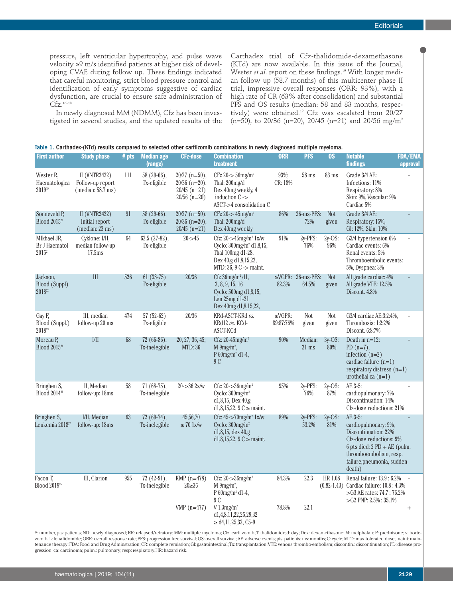pressure, left ventricular hypertrophy, and pulse wave velocity ≥9 m/s identified patients at higher risk of developing CVAE during follow up. These findings indicated that careful monitoring, strict blood pressure control and identification of early symptoms suggestive of cardiac dysfunction, are crucial to ensure safe administration of  $Cfz.^{16-18}$ 

In newly diagnosed MM (NDMM), Cfz has been investigated in several studies, and the updated results of the Carthadex trial of Cfz-thalidomide-dexamethasone (KTd) are now available. In this issue of the Journal, Wester *et al*. report on these findings. <sup>19</sup> With longer median follow up (58.7 months) of this multicenter phase II trial, impressive overall responses (ORR: 93%), with a high rate of CR (63% after consolidation) and substantial PFS and OS results (median: 58 and 83 months, respectively) were obtained. <sup>19</sup> Cfz was escalated from 20/27 (n=50), to 20/36 (n=20), 20/45 (n=21) and 20/56 mg/m<sup>2</sup>

|  |  | Table 1. Carthadex-(KTd) results compared to selected other carfilzomib combinations in newly diagnosed multiple myeloma. |  |  |  |  |  |  |  |  |  |  |
|--|--|---------------------------------------------------------------------------------------------------------------------------|--|--|--|--|--|--|--|--|--|--|
|--|--|---------------------------------------------------------------------------------------------------------------------------|--|--|--|--|--|--|--|--|--|--|

| <b>First author</b>                                    | <b>Study phase</b>                                       | $#$ pts | <b>Median age</b><br>(range)   | <b>CFz-dose</b>                                                        | <b>Combination</b><br>treatment                                                                                                                  | <b>ORR</b>                | <b>PFS</b>                       | $\overline{OS}$     | <b>Notable</b><br>findings                                                                                                                                                                            | <b>FDA/EMA</b><br>approval |
|--------------------------------------------------------|----------------------------------------------------------|---------|--------------------------------|------------------------------------------------------------------------|--------------------------------------------------------------------------------------------------------------------------------------------------|---------------------------|----------------------------------|---------------------|-------------------------------------------------------------------------------------------------------------------------------------------------------------------------------------------------------|----------------------------|
| Wester R.<br>Haematologica<br>201919                   | II $(HNTR2422)$<br>Follow-up report<br>(median: 58.7 ms) | 111     | 58 (29-66),<br>Tx-eligible     | $20/27$ (n=50),<br>$20/36$ (n=20),<br>$20/45$ (n=21)<br>$20/56$ (n=20) | $CFz 20$ -> 56mg/m <sup>2</sup><br>Thal: 200mg/d<br>Dex 40mg weekly, 4<br>induction $C \rightarrow$<br>ASCT->4 consolidation C                   | 93%;<br>CR: 18%           | $58$ ms                          | $83 \text{ ms}$     | Grade 3/4 AE:<br>Infections: 11%<br>Respiratory: 8%<br>Skin: 9%, Vascular: 9%<br>Cardiac 5%                                                                                                           |                            |
| Sonneveld P,<br>Blood 2015 <sup>20</sup>               | II (#NTR2422)<br>Initial report<br>(median: 23 ms)       | 91      | 58 (29-66),<br>Tx-eligible     | $20/27$ (n=50),<br>$20/36$ (n=20),<br>$20/45$ (n=21)                   | CFz $20$ -> $45$ mg/m <sup>2</sup><br>Thal: 200mg/d<br>Dex 40mg weekly                                                                           | 86%                       | 36-ms-PFS:<br>72%                | <b>Not</b><br>given | Grade 3/4 AE:<br>Respiratory: 15%,<br>GI: 12%, Skin: 10%                                                                                                                                              |                            |
| MIkhael JR,<br>Br J Haematol<br>$2015^{21}$            | Cyklone: I/II,<br>median follow-up<br>17.5 <sub>ms</sub> | 64      | 62.5 (27-82),<br>Tx-eligible   | $20 - 45$                                                              | Cfz: 20->45mg/m <sup>2</sup> 1x/w<br>Cyclo: 300mg/m <sup>2</sup> d1,8,15,<br>Thal 100mg d1-28,<br>Dex 40,g d1,8,15,22,<br>MTD: 36, 9 C -> maint. | 91%                       | 2y-PFS:<br>76%                   | $2y$ -OS:<br>96%    | G3/4 hypertension 6%<br>Cardiac events: 6%<br>Renal events: 5%<br>Thromboembolic events:<br>5%, Dyspnea: 3%                                                                                           |                            |
| Jackson,<br><b>Blood (Suppl)</b><br>2018 <sup>22</sup> | III                                                      | 526     | $61(33-75)$<br>Tx-eligible     | 20/36                                                                  | Cfz 36mg/m <sup>2</sup> d1,<br>2, 8, 9, 15, 16<br>Cyclo: 500mg d1,8,15,<br>Len 25mg d1-21<br>Dex 40mg d1,8,15,22,                                | 82.3%                     | $\geq$ VGPR: 36-ms-PFS:<br>64.5% | <b>Not</b><br>given | All grade cardiac: 4%<br>All grade VTE: 12.5%<br>Discont. 4.8%                                                                                                                                        |                            |
| Gay F,<br>Blood (Suppl.)<br>$2018^{23}$                | III, median<br>follow-up 20 ms                           | 474     | $57(52-62)$<br>Tx-eligible     | 20/36                                                                  | KRd-ASCT-KRd vs.<br>KRd12 vs. KCd-<br>ASCT-KCd                                                                                                   | $\geq$ VGPR:<br>89:87:76% | Not<br>given                     | Not<br>given        | G3/4 cardiac AE:3:2:4%,<br>Thrombosis: 1:2:2%<br>Discont. 6:8:7%                                                                                                                                      |                            |
| Moreau P.<br>Blood 2015 <sup>24</sup>                  | VII                                                      | 68      | $72(66-86)$ ,<br>Tx-inelegible | 20, 27, 36, 45;<br>MTD: 36                                             | Cfz: $20-45$ mg/m <sup>2</sup><br>M $9mg/m^2$ ,<br>P 60mg/m <sup>2</sup> d1-4,<br>9C                                                             | 90%                       | Median:<br>$21 \text{ ms}$       | $3v$ -OS:<br>80%    | Death in $n=12$ :<br>PD $(n=7)$ ,<br>infection $(n=2)$<br>cardiac failure $(n=1)$<br>respiratory distress $(n=1)$<br>urothelial ca $(n=1)$                                                            |                            |
| Bringhen S,<br>Blood 2014 <sup>26</sup>                | II, Median<br>follow-up: 18ms                            | 58      | 71 (68-75),<br>Tx-inelegible   | $20 - > 362x/w$                                                        | Cfz: $20 - 36$ mg/m <sup>2</sup><br>Cyclo: $300$ mg/m <sup>2</sup><br>d1,8,15, Dex 40,g<br>d1,8,15,22, 9 C $\ge$ maint.                          | $95\%$                    | 2y-PFS:<br>76%                   | $2y$ -OS:<br>87%    | AE 3-5:<br>cardiopulmonary: 7%<br>Discontinuation: 14%<br>Cfz-dose reductions: 21%                                                                                                                    |                            |
| Bringhen S,<br>Leukemia 2018 <sup>27</sup>             | <b>VII, Median</b><br>follow-up: 18ms                    | 63      | $72(69-74)$ ,<br>Tx-inelegible | 45,56,70<br>$\geq 70$ lx/w                                             | Cfz: $45 - 70$ mg/m <sup>2</sup> 1x/w<br>Cyclo: $300$ mg/m <sup>2</sup><br>d1,8,15, dex 40,g<br>d1,8,15,22, 9 C $\ge$ maint.                     | 89%                       | 2y-PFS:<br>53.2%                 | $2v$ -OS:<br>81%    | AE 3-5:<br>cardiopulmonary: 9%,<br>Discontinuation: 22%<br>Cfz-dose reductions: 9%<br>6 pts died: $2 \text{ PD} + \text{AE}$ (pulm.<br>thromboembolism, resp.<br>failure, pneumonia, sudden<br>death) |                            |
| Facon T,<br>Blood 2019 <sup>25</sup>                   | III, Clarion                                             | 955     | $72(42-91)$ ,<br>Tx-inelegible | KMP $(n=478)$<br>$20 \ge 36$                                           | Cfz: $20 - 36$ mg/m <sup>2</sup><br>M $9mg/m^2$ ,<br>P 60mg/m <sup>2</sup> d1-4,<br>9 C                                                          | 84.3%                     | 22.3                             | HR 1.08             | Renal failure: 13.9 : 6.2%<br>(0.82-1.43) Cardiac failure: 10.8 : 4.3%<br>>G3 AE rates: 74.7 : 76.2%<br>$>\,G2$ PNP: 2.5% : 35.1%                                                                     | $\mathbb{Z}$               |
|                                                        |                                                          |         |                                | VMP $(n=477)$                                                          | V1.3mg/m <sup>2</sup><br>d1,4,8,11,22,25,29,32<br>$\geq$ d4,11,25,32, C5-9                                                                       | 78.8%                     | 22.1                             |                     |                                                                                                                                                                                                       | $^{+}$                     |

#: number, pts: patients; ND: newly diagnosed; RR: relapsed/refratory; MM: multiple myeloma; Cfz: carfilzomib; T: thalidomide;d: day; Dex: dexamethasone; M: melphalan; P: prednisone; v: bortezomib; L: lenalidomide; ORR: overall response rate; PFS: progression free survival; OS: overall survival;AE: adverse events; pts: patients; ms: months;C: cycle;MTD: max.tolerated dose; maint: maintenance therapy; FDA: Food and Drug Adminstration;CR: complete remission;GI: gastrointestinal;Tx:transplantation;VTE: venous thrombo-embolism;discontin.:discontinuation;PD:disease progression; ca: carcinoma; pulm.: pulmonary; resp: respiratory,HR: hazard risk.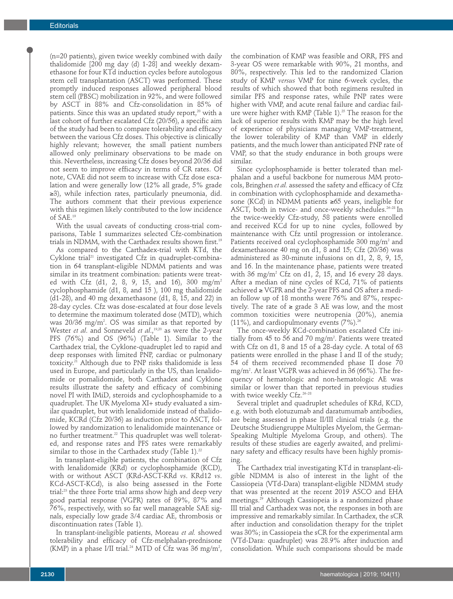(n=20 patients), given twice weekly combined with daily thalidomide [200 mg day (d) 1-28] and weekly dexamethasone for four KTd induction cycles before autologous stem cell transplantation (ASCT) was performed. These promptly induced responses allowed peripheral blood stem cell (PBSC) mobilization in 92%, and were followed by ASCT in 88% and Cfz-consolidation in 85% of patients. Since this was an updated study report, <sup>20</sup> with a last cohort of further escalated Cfz (20/56), a specific aim of the study had been to compare tolerability and efficacy between the various Cfz doses. This objective is clinically highly relevant; however, the small patient numbers allowed only preliminary observations to be made on this. Nevertheless, increasing Cfz doses beyond 20/36 did not seem to improve efficacy in terms of CR rates. Of note, CVAE did not seem to increase with Cfz dose escalation and were generally low (12% all grade, 5% grade ≥3), while infection rates, particularly pneumonia, did. The authors comment that their previous experience with this regimen likely contributed to the low incidence of SAE. 19

With the usual caveats of conducting cross-trial comparisons, Table 1 summarizes selected Cfz-combination trials in NDMM, with the Carthadex results shown first. 19

As compared to the Carthadex-trial with KTd, the Cyklone trial <sup>21</sup> investigated Cfz in quadruplet-combination in 64 transplant-eligible NDMM patients and was similar in its treatment combination: patients were treated with Cfz (d1, 2, 8, 9, 15, and 16), 300 mg/m2 cyclophosphamide (d1, 8, and 15 ), 100 mg thalidomide (d1-28), and 40 mg dexamethasone (d1, 8, 15, and 22) in 28-day cycles. Cfz was dose-escalated at four dose levels to determine the maximum tolerated dose (MTD), which was 20/36 mg/m2 . OS was similar as that reported by Wester *et al*. and Sonneveld *et al*., 19,20 as were the 2-year PFS (76%) and OS (96%) (Table 1). Similar to the Carthadex trial, the Cyklone-quadruplet led to rapid and deep responses with limited PNP, cardiac or pulmonary toxicity. <sup>21</sup> Although due to PNP risks thalidomide is less used in Europe, and particularly in the US, than lenalidomide or pomalidomide, both Carthadex and Cyklone results illustrate the safety and efficacy of combining novel PI with IMiD, steroids and cyclophosphamide to a quadruplet. The UK Myeloma XI+ study evaluated a similar quadruplet, but with lenalidomide instead of thalidomide, KCRd (Cfz 20/36) as induction prior to ASCT, followed by randomization to lenalidomide maintenance or no further treatment. <sup>22</sup> This quadruplet was well tolerated, and response rates and PFS rates were remarkably similar to those in the Carthadex study (Table 1). $^{\scriptscriptstyle 22}$ 

In transplant-eligible patients, the combination of Cfz with lenalidomide (KRd) or cyclophosphamide (KCD), with or without ASCT (KRd-ASCT-KRd *vs*. KRd12 *vs*. KCd-ASCT-KCd), is also being assessed in the Forte trial: <sup>23</sup> the three Forte trial arms show high and deep very good partial response (VGPR) rates of 89%, 87% and 76%, respectively, with so far well manageable SAE signals, especially low grade 3/4 cardiac AE, thrombosis or discontinuation rates (Table 1).

In transplant-ineligible patients, Moreau *et al.* showed tolerability and efficacy of Cfz-melphalan-prednisone (KMP) in a phase I/II trial. $^{24}$  MTD of Cfz was 36 mg/m $^2\!$ ,

the combination of KMP was feasible and ORR, PFS and 3-year OS were remarkable with 90%, 21 months, and 80%, respectively. This led to the randomized Clarion study of KMP *versus* VMP for nine 6-week cycles, the results of which showed that both regimens resulted in similar PFS and response rates, while PNP rates were higher with VMP, and acute renal failure and cardiac failure were higher with KMP (Table 1). <sup>25</sup> The reason for the lack of superior results with KMP may be the high level of experience of physicians managing VMP-treatment, the lower tolerability of KMP than VMP in elderly patients, and the much lower than anticipated PNP rate of VMP, so that the study endurance in both groups were similar.

Since cyclophosphamide is better tolerated than melphalan and a useful backbone for numerous MM protocols, Bringhen *et al.* assessed the safety and efficacy of Cfz in combination with cyclophosphamide and dexamethasone (KCd) in NDMM patients ≥65 years, ineligible for ASCT, both in twice- and once-weekly schedules. 26–28 In the twice-weekly Cfz-study, 58 patients were enrolled and received KCd for up to nine cycles, followed by maintenance with Cfz until progression or intolerance. Patients received oral cyclophosphamide 300 mg/m<sup>2</sup> and dexamethasone 40 mg on d1, 8 and 15; Cfz (20/36) was administered as 30-minute infusions on d1, 2, 8, 9, 15, and 16. In the maintenance phase, patients were treated with 36 mg/m<sup>2</sup> Cfz on d1, 2, 15, and 16 every 28 days. After a median of nine cycles of KCd, 71% of patients achieved ≥ VGPR and the 2-year PFS and OS after a median follow up of 18 months were 76% and 87%, respectively. The rate of  $\ge$  grade 3 AE was low, and the most common toxicities were neutropenia (20%), anemia (11%), and cardiopulmonary events (7%). 26

The once-weekly KCd-combination escalated Cfz initially from 45 to 56 and 70 mg/m<sup>2</sup>. Patients were treated with Cfz on d1, 8 and 15 of a 28-day cycle. A total of 63 patients were enrolled in the phase I and II of the study; 54 of them received recommended phase II dose 70 mg/m2 . At least VGPR was achieved in 36 (66%). The frequency of hematologic and non-hematologic AE was similar or lower than that reported in previous studies with twice weekly Cfz. 26–28

Several triplet and quadruplet schedules of KRd, KCD, e.g. with both elotuzumab and daratumumab antibodies, are being assessed in phase II/III clinical trials (e.g. the Deutsche Studiengruppe Multiples Myelom, the German-Speaking Multiple Myeloma Group, and others). The results of these studies are eagerly awaited, and preliminary safety and efficacy results have been highly promising.

The Carthadex trial investigating KTd in transplant-eligible NDMM is also of interest in the light of the Cassiopeia (VTd-Dara) transplant-eligible NDMM study that was presented at the recent 2019 ASCO and EHA meetings. <sup>29</sup> Although Cassiopeia is a randomized phase III trial and Carthadex was not, the responses in both are impressive and remarkably similar. In Carthadex, the sCR after induction and consolidation therapy for the triplet was 30%; in Cassiopeia the sCR for the experimental arm (VTd-Dara: quadruplet) was 28.9% after induction and consolidation. While such comparisons should be made